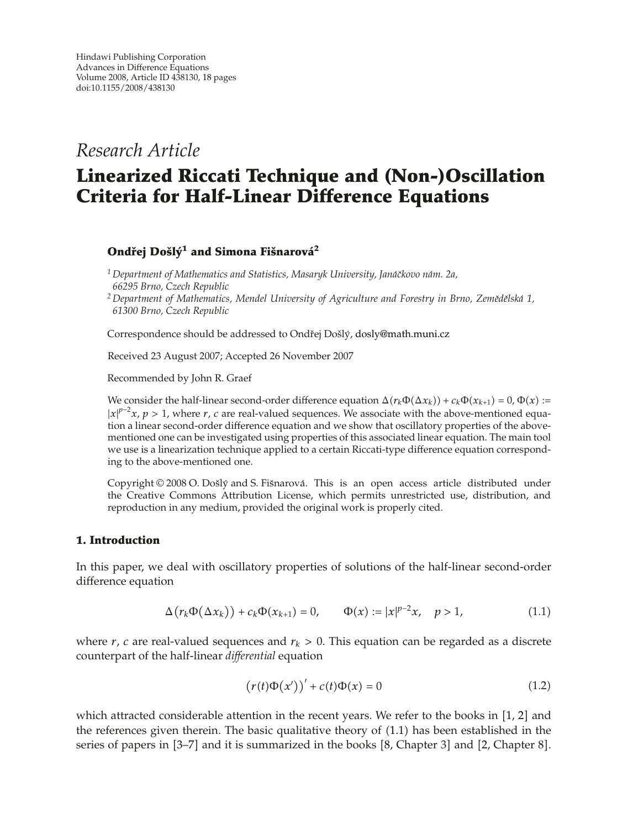*Research Article*

# **Linearized Riccati Technique and (Non-)Oscillation Criteria for Half-Linear Difference Equations**

## *Ondřej Došlý<sup>1</sup> and Simona Fišnarová<sup>2</sup>*

<sup>1</sup> Department of Mathematics and Statistics, Masaryk University, Janáčkovo nám. 2a, *66295 Brno, Czech Republic*

*<sup>2</sup> Department of Mathematics, Mendel University of Agriculture and Forestry in Brno, Zemedˇ elsk ˇ a 1, ´ 61300 Brno, Czech Republic*

Correspondence should be addressed to Ondřej Došlý, dosly@math.muni.cz

Received 23 August 2007; Accepted 26 November 2007

Recommended by John R. Graef

We consider the half-linear second-order difference equation  $\Delta(r_k\Phi(\Delta x_k)) + c_k\Phi(x_{k+1}) = 0$ ,  $\Phi(x) :=$  $|x|^{p-2}x$ ,  $p > 1$ , where *r*, *c* are real-valued sequences. We associate with the above-mentioned equation a linear second-order difference equation and we show that oscillatory properties of the abovementioned one can be investigated using properties of this associated linear equation. The main tool we use is a linearization technique applied to a certain Riccati-type difference equation corresponding to the above-mentioned one.

Copyright © 2008 O. Došlý and S. Fišnarová. This is an open access article distributed under the Creative Commons Attribution License, which permits unrestricted use, distribution, and reproduction in any medium, provided the original work is properly cited.

## **1. Introduction**

In this paper, we deal with oscillatory properties of solutions of the half-linear second-order difference equation

$$
\Delta(r_k \Phi(\Delta x_k)) + c_k \Phi(x_{k+1}) = 0, \qquad \Phi(x) := |x|^{p-2}x, \quad p > 1,
$$
\n(1.1)

where  $r$ ,  $c$  are real-valued sequences and  $r_k > 0$ . This equation can be regarded as a discrete counterpart of the half-linear *differential* equation

$$
\left(r(t)\Phi(x')\right)' + c(t)\Phi(x) = 0\tag{1.2}
$$

which attracted considerable attention in the recent years. We refer to the books in  $[1, 2]$  and the references given therein. The basic qualitative theory of (1.1) has been established in the series of papers in [3–7] and it is summarized in the books [8, Chapter 3] and [2, Chapter 8].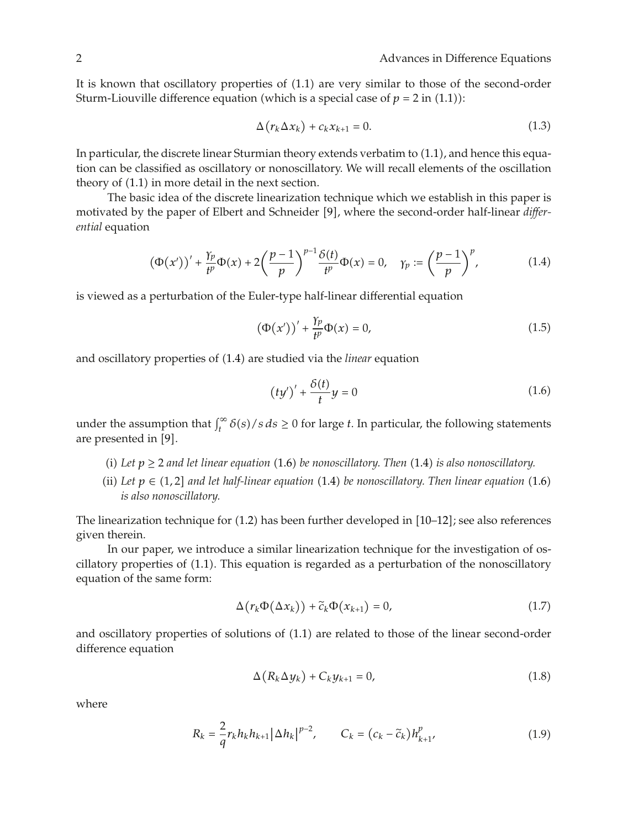It is known that oscillatory properties of  $(1.1)$  are very similar to those of the second-order Sturm-Liouville difference equation (which is a special case of  $p = 2$  in (1.1)):

$$
\Delta(r_k \Delta x_k) + c_k x_{k+1} = 0. \tag{1.3}
$$

In particular, the discrete linear Sturmian theory extends verbatim to  $(1.1)$ , and hence this equation can be classified as oscillatory or nonoscillatory. We will recall elements of the oscillation theory of  $(1.1)$  in more detail in the next section.

The basic idea of the discrete linearization technique which we establish in this paper is motivated by the paper of Elbert and Schneider [9], where the second-order half-linear *differential* equation

$$
\left(\Phi(x')\right)' + \frac{\gamma_p}{t^p}\Phi(x) + 2\left(\frac{p-1}{p}\right)^{p-1}\frac{\delta(t)}{t^p}\Phi(x) = 0, \quad \gamma_p := \left(\frac{p-1}{p}\right)^p,\tag{1.4}
$$

is viewed as a perturbation of the Euler-type half-linear differential equation

$$
\left(\Phi(x')\right)' + \frac{\gamma_p}{t^p}\Phi(x) = 0,\tag{1.5}
$$

and oscillatory properties of  $(1.4)$  are studied via the *linear* equation

$$
(ty')' + \frac{\delta(t)}{t}y = 0\tag{1.6}
$$

under the assumption that  $\int_t^{\infty} \delta(s)/s \, ds \ge 0$  for large *t*. In particular, the following statements are presented in [9].

- (i) Let  $p \ge 2$  and let linear equation (1.6) be nonoscillatory. Then (1.4) is also nonoscillatory.
- (ii) Let  $p \in (1,2]$  and let half-linear equation  $(1.4)$  be nonoscillatory. Then linear equation  $(1.6)$ *is also nonoscillatory.*

The linearization technique for (1.2) has been further developed in [10–12]; see also references given therein.

In our paper, we introduce a similar linearization technique for the investigation of oscillatory properties of  $(1.1)$ . This equation is regarded as a perturbation of the nonoscillatory equation of the same form:

$$
\Delta(r_k \Phi(\Delta x_k)) + \tilde{c}_k \Phi(x_{k+1}) = 0, \qquad (1.7)
$$

and oscillatory properties of solutions of  $(1.1)$  are related to those of the linear second-order difference equation

$$
\Delta(R_k \Delta y_k) + C_k y_{k+1} = 0, \qquad (1.8)
$$

where

$$
R_{k} = \frac{2}{q} r_{k} h_{k} h_{k+1} |\Delta h_{k}|^{p-2}, \qquad C_{k} = (c_{k} - \tilde{c}_{k}) h_{k+1}^{p}, \qquad (1.9)
$$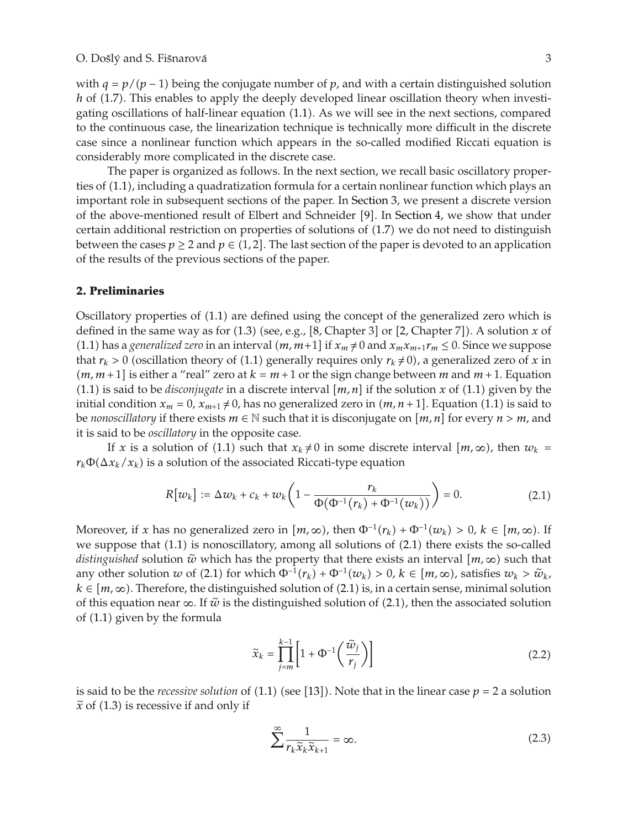#### O. Došlý and S. Fišnarová  $\overline{3}$

with  $q = p/(p - 1)$  being the conjugate number of p, and with a certain distinguished solution *h* of (1.7). This enables to apply the deeply developed linear oscillation theory when investigating oscillations of half-linear equation  $(1.1)$ . As we will see in the next sections, compared to the continuous case, the linearization technique is technically more difficult in the discrete case since a nonlinear function which appears in the so-called modified Riccati equation is considerably more complicated in the discrete case.

The paper is organized as follows. In the next section, we recall basic oscillatory properties of (1.1), including a quadratization formula for a certain nonlinear function which plays an important role in subsequent sections of the paper. In Section 3, we present a discrete version of the above-mentioned result of Elbert and Schneider [9]. In Section 4, we show that under certain additional restriction on properties of solutions of 1.7 we do not need to distinguish between the cases  $p \geq 2$  and  $p \in (1,2]$ . The last section of the paper is devoted to an application of the results of the previous sections of the paper.

#### **2. Preliminaries**

Oscillatory properties of  $(1.1)$  are defined using the concept of the generalized zero which is defined in the same way as for  $(1.3)$  (see, e.g.,  $[8,$  Chapter 3] or  $[2,$  Chapter 7]). A solution  $x$  of (1.1) has a *generalized zero* in an interval  $(m, m+1]$  if  $x_m \neq 0$  and  $x_m x_{m+1} r_m \leq 0$ . Since we suppose that  $r_k > 0$  (oscillation theory of (1.1) generally requires only  $r_k \neq 0$ ), a generalized zero of *x* in  $(m, m+1]$  is either a "real" zero at  $k = m+1$  or the sign change between *m* and  $m+1$ . Equation (1.1) is said to be *disconjugate* in a discrete interval  $[m, n]$  if the solution *x* of (1.1) given by the initial condition  $x_m = 0$ ,  $x_{m+1} \neq 0$ , has no generalized zero in  $(m, n+1]$ . Equation (1.1) is said to be *nonoscillatory* if there exists  $m \in \mathbb{N}$  such that it is disconjugate on  $[m, n]$  for every  $n > m$ , and it is said to be *oscillatory* in the opposite case.

If *x* is a solution of (1.1) such that  $x_k \neq 0$  in some discrete interval  $[m, \infty)$ , then  $w_k =$  $r_k \Phi(\Delta x_k/x_k)$  is a solution of the associated Riccati-type equation

$$
R[w_k] := \Delta w_k + c_k + w_k \left( 1 - \frac{r_k}{\Phi(\Phi^{-1}(r_k) + \Phi^{-1}(w_k))} \right) = 0.
$$
 (2.1)

Moreover, if *x* has no generalized zero in  $[m, \infty)$ , then  $\Phi^{-1}(r_k) + \Phi^{-1}(w_k) > 0$ ,  $k \in [m, \infty)$ . If we suppose that  $(1.1)$  is nonoscillatory, among all solutions of  $(2.1)$  there exists the so-called *distinguished* solution  $\tilde{w}$  which has the property that there exists an interval  $[m, \infty)$  such that any other solution *w* of (2.1) for which  $\Phi^{-1}(r_k) + \Phi^{-1}(w_k) > 0$ ,  $k \in [m, \infty)$ , satisfies  $w_k > \tilde{w}_k$ ,  $k \in [m, \infty)$ . Therefore, the distinguished solution of (2.1) is, in a certain sense, minimal solution of this equation near  $\infty$ . If  $\tilde{w}$  is the distinguished solution of (2.1), then the associated solution of  $(1.1)$  given by the formula

$$
\widetilde{x}_k = \prod_{j=m}^{k-1} \left[ 1 + \Phi^{-1} \left( \frac{\widetilde{w}_j}{r_j} \right) \right]
$$
\n(2.2)

is said to be the *recessive solution* of  $(1.1)$  (see  $[13]$ ). Note that in the linear case  $p = 2$  a solution  $\tilde{x}$  of (1.3) is recessive if and only if

$$
\sum_{k=1}^{\infty} \frac{1}{r_k \tilde{x}_k \tilde{x}_{k+1}} = \infty.
$$
 (2.3)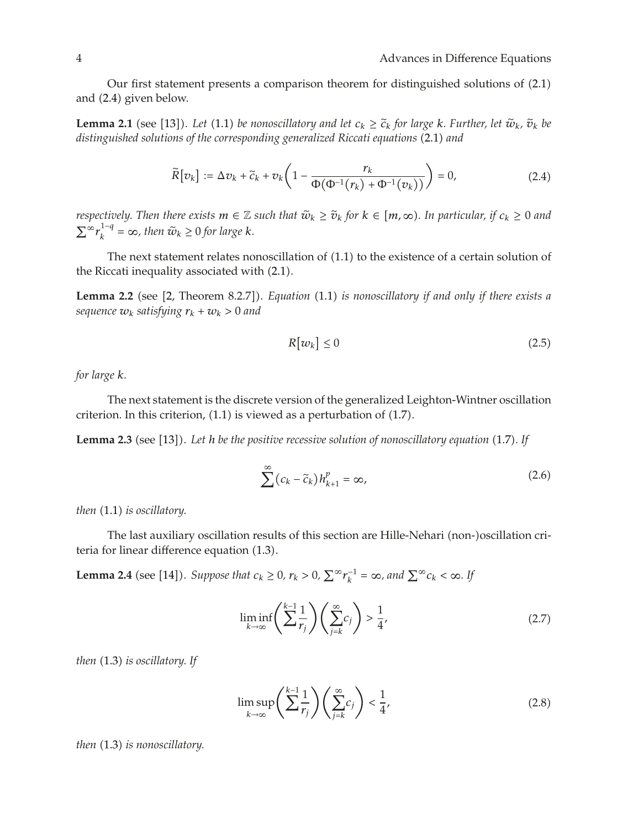Our first statement presents a comparison theorem for distinguished solutions of  $(2.1)$ and  $(2.4)$  given below.

**Lemma 2.1** (see [13]). Let (1.1) be nonoscillatory and let  $c_k \geq \tilde{c}_k$  for large  $k$ *. Further, let*  $\tilde{w}_k$ *,*  $\tilde{v}_k$  be distinguished solutions of the corresponding conserlined Bisecti equations (2.1) and distinguished solutions of the corresponding generalized Riccati equations (2.1) and

$$
\widetilde{R}[v_k] := \Delta v_k + \widetilde{c}_k + v_k \left( 1 - \frac{r_k}{\Phi(\Phi^{-1}(r_k) + \Phi^{-1}(v_k))} \right) = 0, \tag{2.4}
$$

*respectively. Then there exists*  $m \in \mathbb{Z}$  *such that*  $\tilde{w}_k \geq \tilde{v}_k$  *for*  $k \in [m, \infty)$ *. In particular, if*  $c_k \geq 0$  *and*  $\sum_{k}^{\infty} r_k^{1-q} = \infty$ , then  $\tilde{w}_k \geq 0$  for large *k*.

The next statement relates nonoscillation of  $(1.1)$  to the existence of a certain solution of the Riccati inequality associated with  $(2.1)$ .

**Lemma 2.2** (see [2, Theorem 8.2.7]). *Equation* (1.1) *is nonoscillatory if and only if there exists a sequence*  $w_k$  *satisfying*  $r_k + w_k > 0$  *and* 

$$
R[w_k] \le 0 \tag{2.5}
$$

*for large k.*

The next statement is the discrete version of the generalized Leighton-Wintner oscillation criterion. In this criterion,  $(1.1)$  is viewed as a perturbation of  $(1.7)$ .

Lemma 2.3 (see [13]). Let *h* be the positive recessive solution of nonoscillatory equation (1.7). If

$$
\sum^{\infty} (c_k - \widetilde{c}_k) h_{k+1}^p = \infty, \tag{2.6}
$$

*then* (1.1) *is oscillatory*.

The last auxiliary oscillation results of this section are Hille-Nehari (non-)oscillation criteria for linear difference equation  $(1.3)$ .

**Lemma 2.4** (see [14]). *Suppose that*  $c_k \geq 0$ ,  $r_k > 0$ ,  $\sum_{k=1}^{\infty} r_k^{-1} = \infty$ , and  $\sum_{k=1}^{\infty} c_k < \infty$ . If

$$
\liminf_{k \to \infty} \left( \sum_{i}^{k-1} \frac{1}{r_i} \right) \left( \sum_{j=k}^{\infty} c_j \right) > \frac{1}{4},\tag{2.7}
$$

*then* (1.3) *is oscillatory.* If

$$
\limsup_{k \to \infty} \left( \sum_{i}^{k-1} \frac{1}{r_i} \right) \left( \sum_{j=k}^{\infty} c_j \right) < \frac{1}{4},\tag{2.8}
$$

*then* (1.3) *is nonoscillatory*.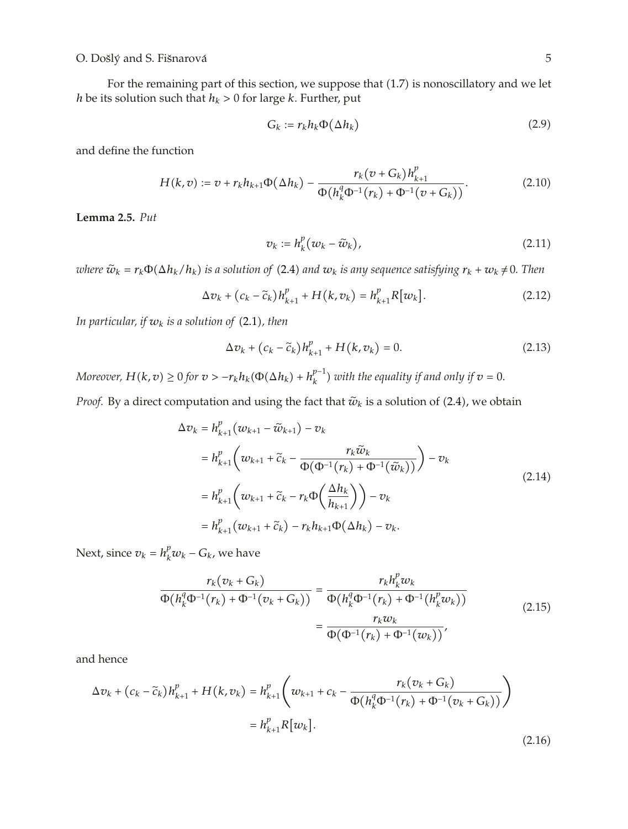## O. Došlý and S. Fišnarová  $\overline{5}$

For the remaining part of this section, we suppose that  $(1.7)$  is nonoscillatory and we let *h* be its solution such that  $h_k > 0$  for large *k*. Further, put

$$
G_k := r_k h_k \Phi(\Delta h_k)
$$
\n(2.9)

and define the function

$$
H(k,v) := v + r_k h_{k+1} \Phi(\Delta h_k) - \frac{r_k (v + G_k) h_{k+1}^p}{\Phi(h_k^q \Phi^{-1}(r_k) + \Phi^{-1}(v + G_k))}.
$$
\n(2.10)

**Lemma 2.5.** *Put*

$$
v_k := h_k^p(w_k - \tilde{w}_k), \qquad (2.11)
$$

*where*  $\tilde{w}_k = r_k \Phi(\Delta h_k / h_k)$  *is a solution of* (2.4) *and*  $w_k$  *is any sequence satisfying*  $r_k + w_k \neq 0$ *. Then* 

$$
\Delta v_k + (c_k - \tilde{c}_k)h_{k+1}^p + H(k, v_k) = h_{k+1}^p R[w_k].
$$
\n(2.12)

*In particular, if*  $w_k$  *is a solution of* (2.1), then

$$
\Delta v_k + (c_k - \tilde{c}_k)h_{k+1}^p + H(k, v_k) = 0.
$$
\n(2.13)

*Moreover,*  $H(k, v) \ge 0$  for  $v > -r_k h_k(\Phi(\Delta h_k) + h_k^{p-1})$  with the equality if and only if  $v = 0$ .

*Proof.* By a direct computation and using the fact that  $\tilde{w}_k$  is a solution of (2.4), we obtain

$$
\Delta v_k = h_{k+1}^p (w_{k+1} - \tilde{w}_{k+1}) - v_k
$$
  
\n
$$
= h_{k+1}^p \left( w_{k+1} + \tilde{c}_k - \frac{r_k \tilde{w}_k}{\Phi(\Phi^{-1}(r_k) + \Phi^{-1}(\tilde{w}_k))} \right) - v_k
$$
  
\n
$$
= h_{k+1}^p \left( w_{k+1} + \tilde{c}_k - r_k \Phi\left(\frac{\Delta h_k}{h_{k+1}}\right) \right) - v_k
$$
  
\n
$$
= h_{k+1}^p (w_{k+1} + \tilde{c}_k) - r_k h_{k+1} \Phi(\Delta h_k) - v_k.
$$
\n(2.14)

Next, since  $v_k = h_k^p w_k - G_k$ , we have

$$
\frac{r_k(v_k + G_k)}{\Phi(h_k^q \Phi^{-1}(r_k) + \Phi^{-1}(v_k + G_k))} = \frac{r_k h_k^p w_k}{\Phi(h_k^q \Phi^{-1}(r_k) + \Phi^{-1}(h_k^p w_k))}
$$
\n
$$
= \frac{r_k w_k}{\Phi(\Phi^{-1}(r_k) + \Phi^{-1}(w_k))},
$$
\n(2.15)

and hence

$$
\Delta v_k + (c_k - \tilde{c}_k) h_{k+1}^p + H(k, v_k) = h_{k+1}^p \left( w_{k+1} + c_k - \frac{r_k (v_k + G_k)}{\Phi(h_k^q \Phi^{-1}(r_k) + \Phi^{-1}(v_k + G_k))} \right)
$$
  
=  $h_{k+1}^p R[w_k].$  (2.16)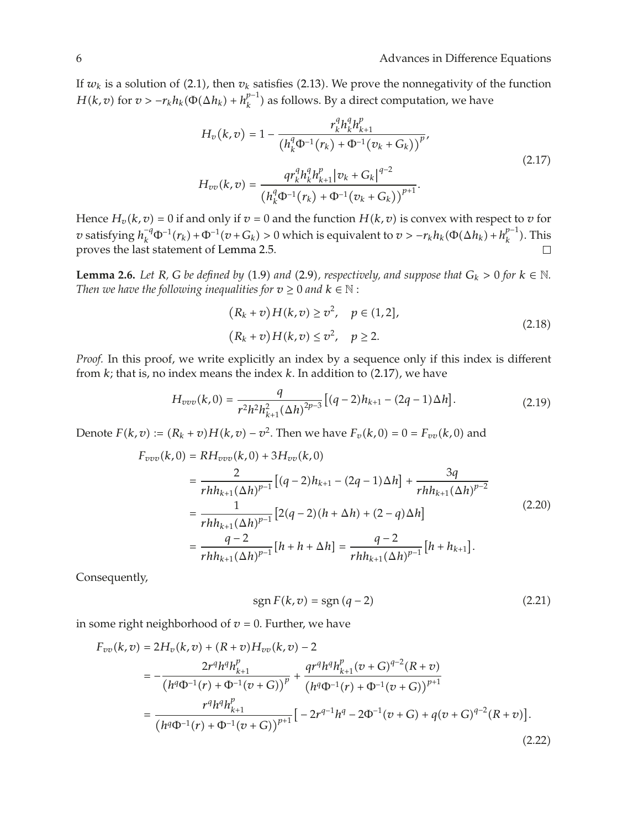If  $w_k$  is a solution of (2.1), then  $v_k$  satisfies (2.13). We prove the nonnegativity of the function *H*(*k*, *v*) for  $v > -r_k h_k(\Phi(\Delta h_k) + h_k^{p-1})$  as follows. By a direct computation, we have

$$
H_v(k, v) = 1 - \frac{r_k^q h_k^q h_{k+1}^p}{(h_k^q \Phi^{-1}(r_k) + \Phi^{-1}(v_k + G_k))^p},
$$
  
\n
$$
H_{vv}(k, v) = \frac{qr_k^q h_k^q h_{k+1}^p |v_k + G_k|^{q-2}}{(h_k^q \Phi^{-1}(r_k) + \Phi^{-1}(v_k + G_k))^{p+1}}.
$$
\n(2.17)

Hence  $H_v(k, v) = 0$  if and only if  $v = 0$  and the function  $H(k, v)$  is convex with respect to  $v$  for *v* satisfying  $h_k^{-q}\Phi^{-1}(r_k) + \Phi^{-1}(v + G_k) > 0$  which is equivalent to  $v > -r_kh_k(\Phi(\Delta h_k) + h_k^{p-1})$ . This proves the last statement of Lemma 2.5.  $\Box$ 

**Lemma 2.6.** *Let R*, *G be defined by* (1.9) *and* (2.9), *respectively, and suppose that*  $G_k > 0$  *for*  $k \in \mathbb{N}$ . *Then we have the following inequalities for*  $v \ge 0$  *and*  $k \in \mathbb{N}$ :

$$
(Rk + v)H(k, v) \ge v2, \quad p \in (1, 2],
$$
  
\n
$$
(Rk + v)H(k, v) \le v2, \quad p \ge 2.
$$
\n(2.18)

*Proof.* In this proof, we write explicitly an index by a sequence only if this index is different from  $k$ ; that is, no index means the index  $k$ . In addition to  $(2.17)$ , we have

$$
H_{vvv}(k,0) = \frac{q}{r^2 h^2 h_{k+1}^2 (\Delta h)^{2p-3}} [(q-2)h_{k+1} - (2q-1)\Delta h].
$$
 (2.19)

Denote  $F(k, v) := (R_k + v)H(k, v) - v^2$ . Then we have  $F_v(k, 0) = 0 = F_{vv}(k, 0)$  and

$$
F_{vvv}(k,0) = RH_{vvv}(k,0) + 3H_{vv}(k,0)
$$
  
= 
$$
\frac{2}{rhh_{k+1}(\Delta h)^{p-1}}[(q-2)h_{k+1} - (2q-1)\Delta h] + \frac{3q}{rhh_{k+1}(\Delta h)^{p-2}}
$$
  
= 
$$
\frac{1}{rhh_{k+1}(\Delta h)^{p-1}}[2(q-2)(h+\Delta h) + (2-q)\Delta h]
$$
  
= 
$$
\frac{q-2}{rhh_{k+1}(\Delta h)^{p-1}}[h+h+\Delta h] = \frac{q-2}{rhh_{k+1}(\Delta h)^{p-1}}[h+h_{k+1}].
$$
 (2.20)

Consequently,

$$
sgn F(k, v) = sgn (q - 2)
$$
\n(2.21)

in some right neighborhood of  $v = 0$ . Further, we have

$$
F_{vv}(k,v) = 2H_v(k,v) + (R+v)H_{vv}(k,v) - 2
$$
  
= 
$$
-\frac{2r^q h^q h_{k+1}^p}{(h^q \Phi^{-1}(r) + \Phi^{-1}(v+G))^p} + \frac{qr^q h^q h_{k+1}^p (v+G)^{q-2} (R+v)}{(h^q \Phi^{-1}(r) + \Phi^{-1}(v+G))^{p+1}}
$$
  
= 
$$
\frac{r^q h^q h_{k+1}^p}{(h^q \Phi^{-1}(r) + \Phi^{-1}(v+G))^{p+1}} \left[ -2r^{q-1} h^q - 2\Phi^{-1}(v+G) + q(v+G)^{q-2} (R+v) \right].
$$
 (2.22)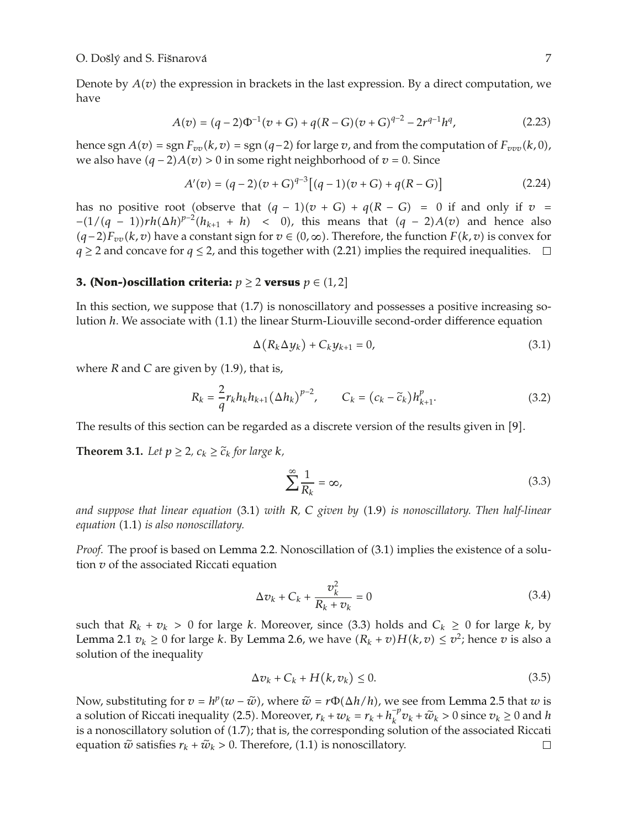Denote by  $A(v)$  the expression in brackets in the last expression. By a direct computation, we have

$$
A(v) = (q-2)\Phi^{-1}(v+G) + q(R-G)(v+G)^{q-2} - 2r^{q-1}h^q,
$$
\n(2.23)

hence sgn  $A(v) = \text{sgn } F_{vv}(k, v) = \text{sgn } (q-2)$  for large v, and from the computation of  $F_{vvv}(k, 0)$ , we also have  $(q - 2)A(v) > 0$  in some right neighborhood of  $v = 0$ . Since

$$
A'(v) = (q-2)(v+G)^{q-3} [(q-1)(v+G) + q(R-G)] \tag{2.24}
$$

has no positive root (observe that  $(q - 1)(v + G) + q(R - G) = 0$  if and only if  $v =$  $-(1/(q - 1))rh(\Delta h)^{p-2}(h_{k+1} + h)$  < 0), this means that  $(q - 2)A(v)$  and hence also  $(q-2)F_{vv}(k, v)$  have a constant sign for  $v \in (0, ∞)$ . Therefore, the function  $F(k, v)$  is convex for *q*  $\ge$  2 and concave for *q*  $\le$  2, and this together with (2.21) implies the required inequalities.  $\Box$ 

## **3. (Non-)oscillation criteria:**  $p \ge 2$  versus  $p \in (1,2]$

In this section, we suppose that  $(1.7)$  is nonoscillatory and possesses a positive increasing solution *h*. We associate with (1.1) the linear Sturm-Liouville second-order difference equation

$$
\Delta(R_k \Delta y_k) + C_k y_{k+1} = 0, \qquad (3.1)
$$

where  $R$  and  $C$  are given by  $(1.9)$ , that is,

$$
R_{k} = \frac{2}{q} r_{k} h_{k} h_{k+1} (\Delta h_{k})^{p-2}, \qquad C_{k} = (c_{k} - \tilde{c}_{k}) h_{k+1}^{p}.
$$
 (3.2)

The results of this section can be regarded as a discrete version of the results given in  $[9]$ .

**Theorem 3.1.** *Let*  $p \geq 2$ *,*  $c_k \geq \tilde{c}_k$  *for large k,* 

$$
\sum_{k=1}^{\infty} \frac{1}{R_k} = \infty,\tag{3.3}
$$

*and suppose that linear equation* 3.1 *with R, C given by* 1.9 *is nonoscillatory. Then half-linear equation* 1.1 *is also nonoscillatory.*

*Proof.* The proof is based on Lemma 2.2. Nonoscillation of (3.1) implies the existence of a solution *v* of the associated Riccati equation

$$
\Delta v_k + C_k + \frac{v_k^2}{R_k + v_k} = 0
$$
\n(3.4)

such that  $R_k + v_k > 0$  for large *k*. Moreover, since (3.3) holds and  $C_k \ge 0$  for large *k*, by Lemma 2.1  $v_k \geq 0$  for large *k*. By Lemma 2.6, we have  $(R_k + v)H(k, v) \leq v^2$ ; hence *v* is also a solution of the inequality

$$
\Delta v_k + C_k + H(k, v_k) \le 0. \tag{3.5}
$$

Now, substituting for  $v = h^p(w - \tilde{w})$ , where  $\tilde{w} = r\Phi(\Delta h/h)$ , we see from Lemma 2.5 that *w* is a solution of Riccati inequality (2.5). Moreover,  $r_k + w_k = r_k + h_k^{\top} v_k + \tilde{w}_k > 0$  since  $v_k \ge 0$  and *h* is a nonoscillatory solution of (1.7), that is the corresponding solution of the associated Biseati is a nonoscillatory solution of (1.7); that is, the corresponding solution of the associated Riccati equation  $\tilde{w}$  satisfies  $r_k + \tilde{w}_k > 0$ . Therefore, (1.1) is nonoscillatory.  $\Box$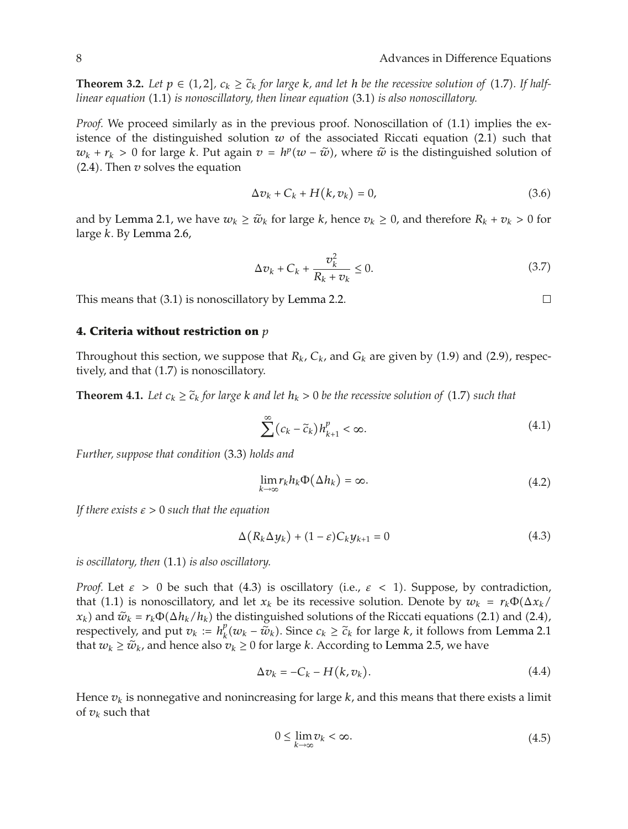**Theorem 3.2.** Let  $p \in (1,2]$ ,  $c_k \geq \tilde{c}_k$  for large  $k$ , and let  $h$  be the recessive solution of (1.7). If half-<br>linear equation (1.1) is nonogallatory, then linear equation (2.1) is also nonogallatory. *linear equation* (1.1) *is nonoscillatory, then linear equation* (3.1) *is also nonoscillatory.* 

*Proof.* We proceed similarly as in the previous proof. Nonoscillation of  $(1.1)$  implies the existence of the distinguished solution  $w$  of the associated Riccati equation  $(2.1)$  such that  $w_k + r_k > 0$  for large *k*. Put again  $v = h^p(w - \tilde{w})$ , where  $\tilde{w}$  is the distinguished solution of 2.4. Then *v* solves the equation

$$
\Delta v_k + C_k + H(k, v_k) = 0,\t(3.6)
$$

and by Lemma 2.1, we have  $w_k \geq \tilde{w}_k$  for large *k*, hence  $v_k \geq 0$ , and therefore  $R_k + v_k > 0$  for large *k*. By Lemma 2.6,

$$
\Delta v_k + C_k + \frac{v_k^2}{R_k + v_k} \le 0.
$$
\n
$$
(3.7)
$$

This means that  $(3.1)$  is nonoscillatory by Lemma 2.2.

#### **4. Criteria without restriction on** *p*

Throughout this section, we suppose that  $R_k$ ,  $C_k$ , and  $G_k$  are given by (1.9) and (2.9), respectively, and that  $(1.7)$  is nonoscillatory.

**Theorem 4.1.** Let  $c_k \geq \tilde{c}_k$  for large k and let  $h_k > 0$  be the recessive solution of (1.7) such that

$$
\sum^{\infty} (c_k - \tilde{c}_k) h_{k+1}^p < \infty.
$$
\n(4.1)

*Further, suppose that condition* (3.3) *holds and* 

$$
\lim_{k \to \infty} r_k h_k \Phi(\Delta h_k) = \infty. \tag{4.2}
$$

*If there exists ε >* 0 *such that the equation*

$$
\Delta(R_k \Delta y_k) + (1 - \varepsilon)C_k y_{k+1} = 0 \tag{4.3}
$$

*is oscillatory, then*  $(1.1)$  *is also oscillatory.* 

*Proof.* Let  $\varepsilon > 0$  be such that (4.3) is oscillatory (i.e.,  $\varepsilon < 1$ ). Suppose, by contradiction, that (1.1) is nonoscillatory, and let  $x_k$  be its recessive solution. Denote by  $w_k = r_k \Phi(\Delta x_k)$  $x_k$ ) and  $\tilde{w}_k = r_k \Phi(\Delta h_k / h_k)$  the distinguished solutions of the Riccati equations (2.1) and (2.4), respectively, and put  $v_k := h_k^p(w_k - \tilde{w}_k)$ . Since  $c_k \geq \tilde{c}_k$  for large *k*, it follows from Lemma 2.1 that  $w_k \geq \tilde{w}_k$ , and hence also  $v_k \geq 0$  for large *k*. According to Lemma 2.5, we have

$$
\Delta v_k = -C_k - H(k, v_k). \tag{4.4}
$$

Hence  $v_k$  is nonnegative and nonincreasing for large  $k$ , and this means that there exists a limit of  $v_k$  such that

$$
0 \le \lim_{k \to \infty} v_k < \infty. \tag{4.5}
$$

 $\Box$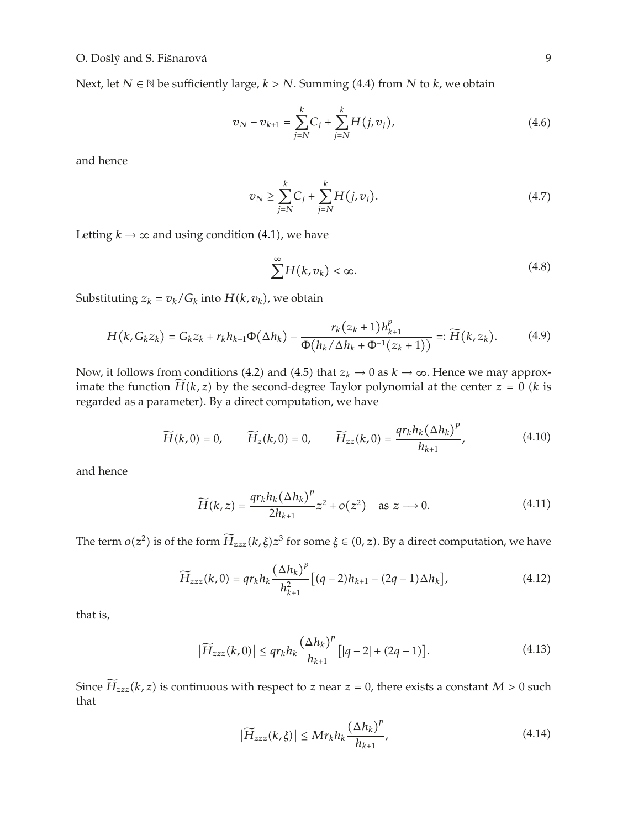Next, let *N* ∈ N be sufficiently large,  $k > N$ . Summing (4.4) from *N* to  $k$ , we obtain

$$
v_N - v_{k+1} = \sum_{j=N}^{k} C_j + \sum_{j=N}^{k} H(j, v_j),
$$
\n(4.6)

and hence

$$
v_N \ge \sum_{j=N}^{k} C_j + \sum_{j=N}^{k} H(j, v_j).
$$
 (4.7)

Letting  $k \rightarrow \infty$  and using condition (4.1), we have

$$
\sum_{k=1}^{\infty} H(k, v_k) < \infty. \tag{4.8}
$$

Substituting  $z_k = v_k / G_k$  into  $H(k, v_k)$ , we obtain

$$
H(k, G_k z_k) = G_k z_k + r_k h_{k+1} \Phi(\Delta h_k) - \frac{r_k (z_k + 1) h_{k+1}^p}{\Phi(h_k / \Delta h_k + \Phi^{-1}(z_k + 1))} =: \widetilde{H}(k, z_k).
$$
 (4.9)

Now, it follows from conditions (4.2) and (4.5) that  $z_k \to 0$  as  $k \to \infty$ . Hence we may approximate the function  $\widetilde{H}(k, z)$  by the second-degree Taylor polynomial at the center  $z = 0$  (*k* is regarded as a parameter). By a direct computation, we have

$$
\widetilde{H}(k,0) = 0, \qquad \widetilde{H}_z(k,0) = 0, \qquad \widetilde{H}_{zz}(k,0) = \frac{qr_k h_k (\Delta h_k)^p}{h_{k+1}}, \tag{4.10}
$$

and hence

$$
\widetilde{H}(k,z) = \frac{qr_k h_k (\Delta h_k)^p}{2h_{k+1}} z^2 + o(z^2) \quad \text{as } z \longrightarrow 0.
$$
\n(4.11)

The term  $o(z^2)$  is of the form  $\widetilde{H}_{zzz}(k,\xi)z^3$  for some  $\xi \in (0,z)$ . By a direct computation, we have

$$
\widetilde{H}_{zzz}(k,0) = qr_k h_k \frac{(\Delta h_k)^p}{h_{k+1}^2} [(q-2)h_{k+1} - (2q-1)\Delta h_k],
$$
\n(4.12)

that is,

$$
\left|\widetilde{H}_{zzz}(k,0)\right| \le q r_k h_k \frac{\left(\Delta h_k\right)^p}{h_{k+1}} \left[|q-2|+ (2q-1)\right].\tag{4.13}
$$

Since  $\widetilde{H}_{zzz}(k, z)$  is continuous with respect to *z* near  $z = 0$ , there exists a constant  $M > 0$  such that

$$
\left|\widetilde{H}_{zzz}(k,\xi)\right| \le Mr_k h_k \frac{\left(\Delta h_k\right)^p}{h_{k+1}},\tag{4.14}
$$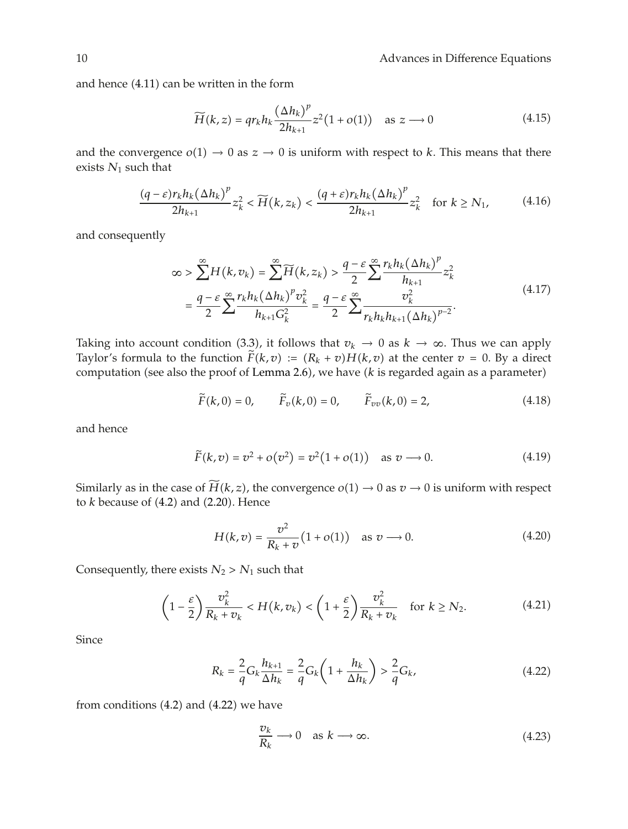and hence  $(4.11)$  can be written in the form

$$
\widetilde{H}(k, z) = qr_k h_k \frac{(\Delta h_k)^p}{2h_{k+1}} z^2 (1 + o(1)) \quad \text{as } z \longrightarrow 0 \tag{4.15}
$$

and the convergence  $o(1) \rightarrow 0$  as  $z \rightarrow 0$  is uniform with respect to *k*. This means that there exists *N*<sup>1</sup> such that

$$
\frac{(q-\varepsilon)r_k h_k (\Delta h_k)^p}{2h_{k+1}} z_k^2 < \widetilde{H}(k, z_k) < \frac{(q+\varepsilon)r_k h_k (\Delta h_k)^p}{2h_{k+1}} z_k^2 \quad \text{for } k \ge N_1,\tag{4.16}
$$

and consequently

$$
\infty > \sum_{k=1}^{\infty} H(k, v_k) = \sum_{k=1}^{\infty} \widetilde{H}(k, z_k) > \frac{q - \varepsilon}{2} \sum_{k=1}^{\infty} \frac{r_k h_k (\Delta h_k)^p}{h_{k+1}} z_k^2
$$
  

$$
= \frac{q - \varepsilon}{2} \sum_{k=1}^{\infty} \frac{r_k h_k (\Delta h_k)^p v_k^2}{h_{k+1} G_k^2} = \frac{q - \varepsilon}{2} \sum_{k=1}^{\infty} \frac{v_k^2}{r_k h_k h_{k+1} (\Delta h_k)^{p-2}}.
$$
(4.17)

Taking into account condition (3.3), it follows that  $v_k \to 0$  as  $k \to \infty$ . Thus we can apply Taylor's formula to the function  $\tilde{F}(k, v) := (R_k + v)H(k, v)$  at the center  $v = 0$ . By a direct computation (see also the proof of Lemma 2.6), we have (k is regarded again as a parameter)

$$
\widetilde{F}(k,0) = 0,
$$
  $\widetilde{F}_v(k,0) = 0,$   $\widetilde{F}_{vv}(k,0) = 2,$  (4.18)

and hence

$$
\tilde{F}(k, v) = v^2 + o(v^2) = v^2(1 + o(1))
$$
 as  $v \to 0$ . (4.19)

Similarly as in the case of  $\widetilde{H}(k, z)$ , the convergence  $o(1) \rightarrow 0$  as  $v \rightarrow 0$  is uniform with respect to  $k$  because of  $(4.2)$  and  $(2.20)$ . Hence

$$
H(k, v) = \frac{v^2}{R_k + v} (1 + o(1)) \text{ as } v \to 0.
$$
 (4.20)

Consequently, there exists  $N_2 > N_1$  such that

$$
\left(1 - \frac{\varepsilon}{2}\right) \frac{v_k^2}{R_k + v_k} < H(k, v_k) < \left(1 + \frac{\varepsilon}{2}\right) \frac{v_k^2}{R_k + v_k} \quad \text{for } k \ge N_2. \tag{4.21}
$$

Since

$$
R_k = \frac{2}{q} G_k \frac{h_{k+1}}{\Delta h_k} = \frac{2}{q} G_k \left( 1 + \frac{h_k}{\Delta h_k} \right) > \frac{2}{q} G_k,
$$
 (4.22)

from conditions  $(4.2)$  and  $(4.22)$  we have

$$
\frac{\nu_k}{R_k} \longrightarrow 0 \quad \text{as } k \longrightarrow \infty. \tag{4.23}
$$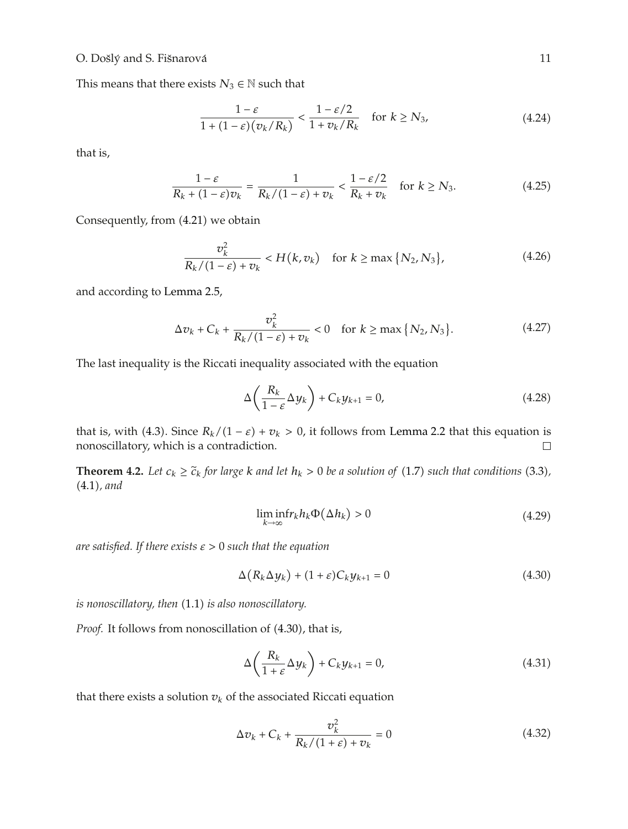## O. Došlý and S. Fišnarová <sup>11</sup>

This means that there exists  $N_3 \in \mathbb{N}$  such that

$$
\frac{1-\varepsilon}{1+(1-\varepsilon)(v_k/R_k)} < \frac{1-\varepsilon/2}{1+v_k/R_k} \quad \text{for } k \ge N_3,\tag{4.24}
$$

that is,

$$
\frac{1-\varepsilon}{R_k + (1-\varepsilon)v_k} = \frac{1}{R_k/(1-\varepsilon) + v_k} < \frac{1-\varepsilon/2}{R_k + v_k} \quad \text{for } k \ge N_3. \tag{4.25}
$$

Consequently, from (4.21) we obtain

$$
\frac{v_k^2}{R_k/(1-\varepsilon)+v_k} < H(k, v_k) \quad \text{for } k \ge \max\{N_2, N_3\},\tag{4.26}
$$

and according to Lemma 2.5,

$$
\Delta v_k + C_k + \frac{v_k^2}{R_k/(1 - \varepsilon) + v_k} < 0 \quad \text{for } k \ge \max\{N_2, N_3\}.
$$
 (4.27)

The last inequality is the Riccati inequality associated with the equation

$$
\Delta\left(\frac{R_k}{1-\varepsilon}\Delta y_k\right) + C_k y_{k+1} = 0,\tag{4.28}
$$

that is, with (4.3). Since  $R_k/(1 - \varepsilon) + v_k > 0$ , it follows from Lemma 2.2 that this equation is nonoscillatory, which is a contradiction.  $□$ nonoscillatory, which is a contradiction.

**Theorem 4.2.** *Let*  $c_k \geq \tilde{c}_k$  *for large k and let*  $h_k > 0$  *be a solution of* (1.7) *such that conditions* (3.3), 4.1*, and*

$$
\liminf_{k \to \infty} r_k h_k \Phi(\Delta h_k) > 0 \tag{4.29}
$$

*are satisfied. If there exists ε >* 0 *such that the equation*

$$
\Delta(R_k \Delta y_k) + (1 + \varepsilon)C_k y_{k+1} = 0 \tag{4.30}
$$

*is nonoscillatory, then* (1.1) *is also nonoscillatory*.

Proof. It follows from nonoscillation of  $(4.30)$ , that is,

$$
\Delta\left(\frac{R_k}{1+\varepsilon}\Delta y_k\right) + C_k y_{k+1} = 0,\tag{4.31}
$$

that there exists a solution  $v_k$  of the associated Riccati equation

$$
\Delta v_k + C_k + \frac{v_k^2}{R_k/(1+\varepsilon) + v_k} = 0
$$
\n(4.32)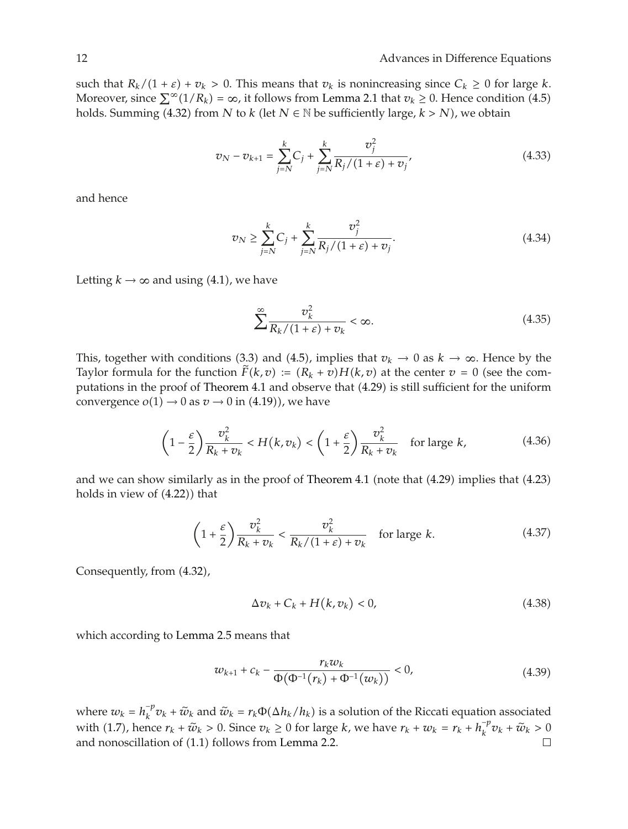such that  $R_k/(1 + \varepsilon) + v_k > 0$ . This means that  $v_k$  is nonincreasing since  $C_k \ge 0$  for large  $k$ . Moreover, since  $\sum^{\infty} (1/R_k) = \infty$ , it follows from Lemma 2.1 that  $v_k \ge 0$ . Hence condition (4.5) holds. Summing (4.32) from *N* to *k* (let  $N \in \mathbb{N}$  be sufficiently large,  $k > N$ ), we obtain

$$
v_N - v_{k+1} = \sum_{j=N}^{k} C_j + \sum_{j=N}^{k} \frac{v_j^2}{R_j/(1+\varepsilon) + v_j'},
$$
(4.33)

and hence

$$
v_N \ge \sum_{j=N}^k C_j + \sum_{j=N}^k \frac{v_j^2}{R_j/(1+\varepsilon) + v_j}.
$$
\n(4.34)

Letting  $k \rightarrow \infty$  and using (4.1), we have

$$
\sum_{k=1}^{\infty} \frac{v_k^2}{R_k/(1+\varepsilon) + v_k} < \infty. \tag{4.35}
$$

This, together with conditions (3.3) and (4.5), implies that  $v_k \to 0$  as  $k \to \infty$ . Hence by the Taylor formula for the function  $\tilde{F}(k, v) := (R_k + v)H(k, v)$  at the center  $v = 0$  (see the computations in the proof of Theorem 4.1 and observe that (4.29) is still sufficient for the uniform convergence  $o(1) \rightarrow 0$  as  $v \rightarrow 0$  in (4.19)), we have

$$
\left(1 - \frac{\varepsilon}{2}\right) \frac{v_k^2}{R_k + v_k} < H(k, v_k) < \left(1 + \frac{\varepsilon}{2}\right) \frac{v_k^2}{R_k + v_k} \quad \text{for large } k,\tag{4.36}
$$

and we can show similarly as in the proof of Theorem 4.1 (note that  $(4.29)$  implies that  $(4.23)$ ) holds in view of  $(4.22)$ ) that

$$
\left(1+\frac{\varepsilon}{2}\right)\frac{v_k^2}{R_k+v_k} < \frac{v_k^2}{R_k/(1+\varepsilon)+v_k} \quad \text{for large } k. \tag{4.37}
$$

Consequently, from  $(4.32)$ ,

$$
\Delta v_k + C_k + H(k, v_k) < 0,\tag{4.38}
$$

which according to Lemma 2.5 means that

$$
w_{k+1} + c_k - \frac{r_k w_k}{\Phi(\Phi^{-1}(r_k) + \Phi^{-1}(w_k))} < 0,\tag{4.39}
$$

where  $w_k = h_k^{-p} v_k + \tilde{w}_k$  and  $\tilde{w}_k = r_k \Phi(\Delta h_k / h_k)$  is a solution of the Riccati equation associated  $h_k^{p-1}$ with (1.7), hence  $r_k + \tilde{w}_k > 0$ . Since  $v_k \ge 0$  for large *k*, we have  $r_k + w_k = r_k + h_k^{-p} v_k + \tilde{w}_k > 0$ and nonoscillation of  $(1.1)$  follows from Lemma 2.2.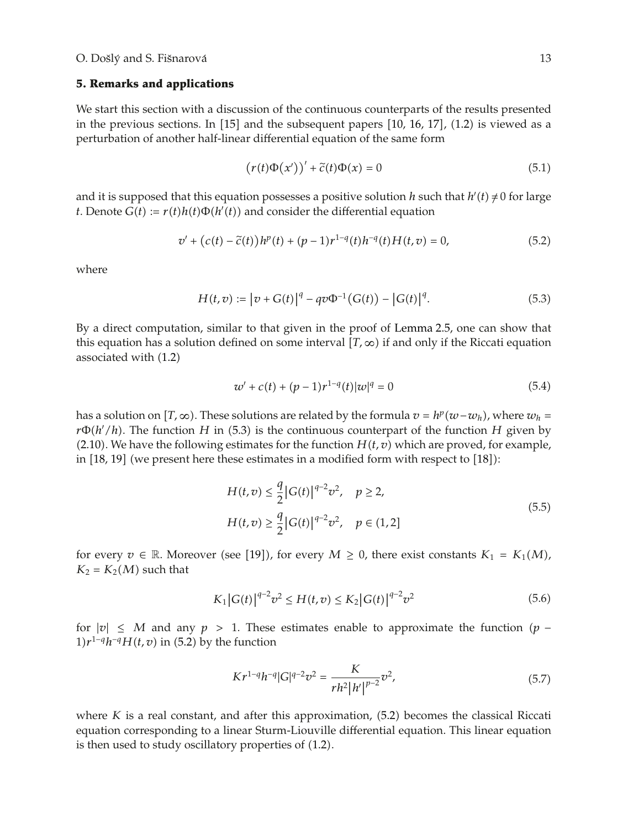#### **5. Remarks and applications**

We start this section with a discussion of the continuous counterparts of the results presented in the previous sections. In  $[15]$  and the subsequent papers  $[10, 16, 17]$ ,  $(1.2)$  is viewed as a perturbation of another half-linear differential equation of the same form

$$
(\mathbf{r}(t)\Phi(\mathbf{x}'))' + \tilde{c}(t)\Phi(\mathbf{x}) = 0 \tag{5.1}
$$

and it is supposed that this equation possesses a positive solution *h* such that  $h'(t) \neq 0$  for large *t*. Denote  $G(t) := r(t)h(t)\Phi(h'(t))$  and consider the differential equation

$$
v' + (c(t) - \tilde{c}(t))h^{p}(t) + (p - 1)r^{1-q}(t)h^{-q}(t)H(t, v) = 0,
$$
\n(5.2)

where

$$
H(t,v) := |v + G(t)|^{q} - qv\Phi^{-1}(G(t)) - |G(t)|^{q}.
$$
 (5.3)

By a direct computation, similar to that given in the proof of Lemma 2.5, one can show that this equation has a solution defined on some interval  $[T, \infty)$  if and only if the Riccati equation associated with  $(1.2)$ 

$$
w' + c(t) + (p-1)r^{1-q}(t)|w|^q = 0
$$
\n(5.4)

has a solution on  $[T, ∞)$ . These solutions are related by the formula  $v = h^p(w - w_h)$ , where  $w_h =$  $r\Phi(h'/h)$ . The function *H* in (5.3) is the continuous counterpart of the function *H* given by  $(2.10)$ . We have the following estimates for the function  $H(t, v)$  which are proved, for example, in  $[18, 19]$  (we present here these estimates in a modified form with respect to  $[18]$ ):

$$
H(t, v) \le \frac{q}{2} |G(t)|^{q-2} v^2, \quad p \ge 2,
$$
  

$$
H(t, v) \ge \frac{q}{2} |G(t)|^{q-2} v^2, \quad p \in (1, 2]
$$
 (5.5)

for every  $v \in \mathbb{R}$ . Moreover (see [19]), for every  $M \geq 0$ , there exist constants  $K_1 = K_1(M)$ ,  $K_2 = K_2(M)$  such that

$$
K_1|G(t)|^{q-2}v^2 \le H(t,v) \le K_2|G(t)|^{q-2}v^2 \tag{5.6}
$$

for  $|v|$  ≤ *M* and any  $p > 1$ . These estimates enable to approximate the function  $(p −$  $1)r^{1-q}h^{-q}H(t, v)$  in (5.2) by the function

$$
Kr^{1-q}h^{-q}|G|^{q-2}v^2 = \frac{K}{rh^2|h'|^{p-2}}v^2,
$$
\n(5.7)

where  $K$  is a real constant, and after this approximation,  $(5.2)$  becomes the classical Riccati equation corresponding to a linear Sturm-Liouville differential equation. This linear equation is then used to study oscillatory properties of  $(1.2)$ .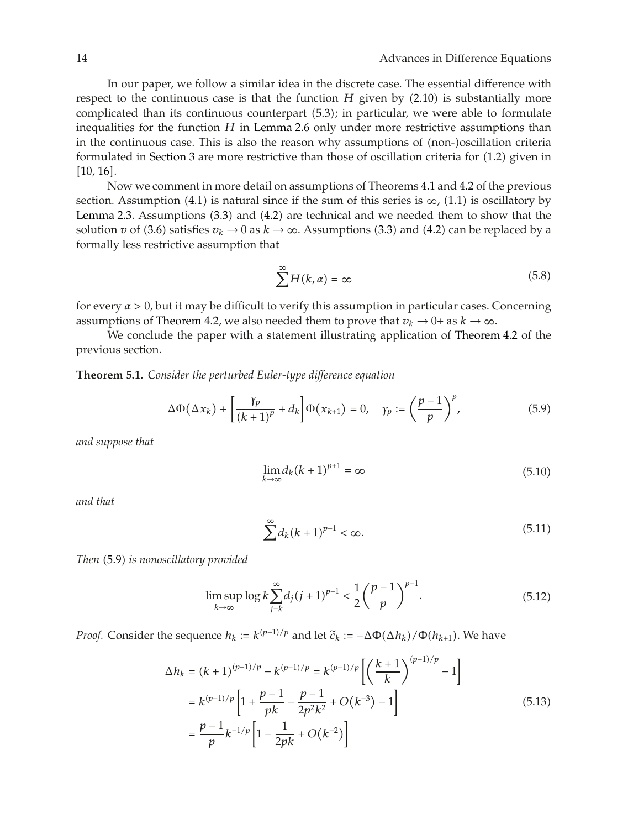In our paper, we follow a similar idea in the discrete case. The essential difference with respect to the continuous case is that the function  $H$  given by  $(2.10)$  is substantially more complicated than its continuous counterpart (5.3); in particular, we were able to formulate inequalities for the function *H* in Lemma 2.6 only under more restrictive assumptions than in the continuous case. This is also the reason why assumptions of (non-)oscillation criteria formulated in Section 3 are more restrictive than those of oscillation criteria for  $(1.2)$  given in  $[10, 16]$ .

Now we comment in more detail on assumptions of Theorems 4.1 and 4.2 of the previous section. Assumption (4.1) is natural since if the sum of this series is  $\infty$ , (1.1) is oscillatory by Lemma 2.3. Assumptions  $(3.3)$  and  $(4.2)$  are technical and we needed them to show that the solution *v* of (3.6) satisfies  $v_k \to 0$  as  $k \to \infty$ . Assumptions (3.3) and (4.2) can be replaced by a formally less restrictive assumption that

$$
\sum^{\infty} H(k, \alpha) = \infty \tag{5.8}
$$

for every *α >* 0, but it may be difficult to verify this assumption in particular cases. Concerning assumptions of Theorem 4.2, we also needed them to prove that  $v_k \to 0^+$  as  $k \to \infty$ .

We conclude the paper with a statement illustrating application of Theorem 4.2 of the previous section.

**Theorem 5.1.** *Consider the perturbed Euler-type difference equation*

$$
\Delta \Phi(\Delta x_k) + \left[\frac{\gamma_p}{(k+1)^p} + d_k\right] \Phi(x_{k+1}) = 0, \quad \gamma_p := \left(\frac{p-1}{p}\right)^p,\tag{5.9}
$$

*and suppose that*

$$
\lim_{k \to \infty} d_k (k+1)^{p+1} = \infty \tag{5.10}
$$

*and that*

$$
\sum_{k=1}^{\infty} d_k (k+1)^{p-1} < \infty. \tag{5.11}
$$

*Then* 5.9 *is nonoscillatory provided*

$$
\limsup_{k \to \infty} \log k \sum_{j=k}^{\infty} d_j (j+1)^{p-1} < \frac{1}{2} \left( \frac{p-1}{p} \right)^{p-1} . \tag{5.12}
$$

*Proof.* Consider the sequence  $h_k := k^{(p-1)/p}$  and let  $\tilde{c}_k := -\Delta \Phi(\Delta h_k) / \Phi(h_{k+1})$ . We have

$$
\Delta h_k = (k+1)^{(p-1)/p} - k^{(p-1)/p} = k^{(p-1)/p} \left[ \left( \frac{k+1}{k} \right)^{(p-1)/p} - 1 \right]
$$
  
=  $k^{(p-1)/p} \left[ 1 + \frac{p-1}{pk} - \frac{p-1}{2p^2k^2} + O(k^{-3}) - 1 \right]$  (5.13)  
=  $\frac{p-1}{p} k^{-1/p} \left[ 1 - \frac{1}{2pk} + O(k^{-2}) \right]$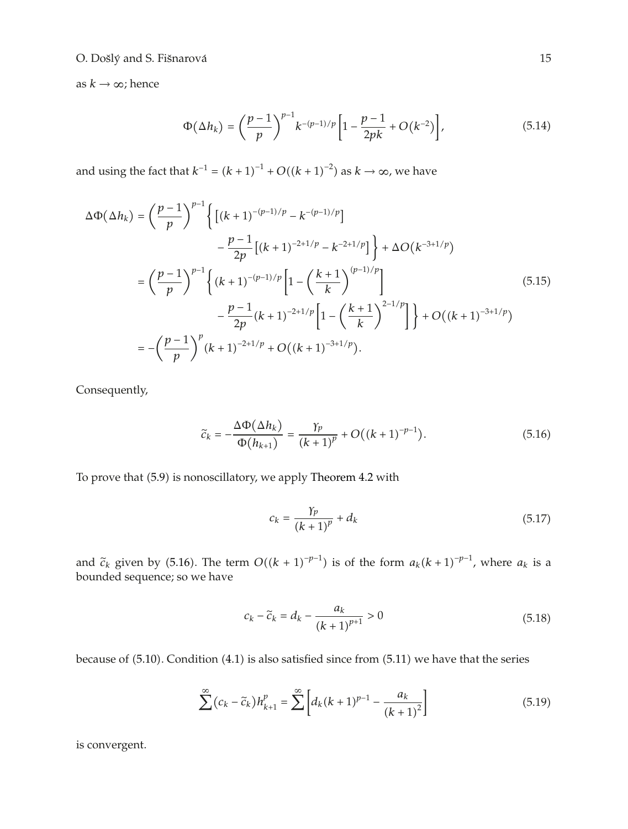## O. Došlý and S. Fišnarová <sup>15</sup>

as  $k \to \infty$ ; hence

$$
\Phi(\Delta h_k) = \left(\frac{p-1}{p}\right)^{p-1} k^{-(p-1)/p} \left[1 - \frac{p-1}{2pk} + O(k^{-2})\right],\tag{5.14}
$$

and using the fact that  $k^{-1} = (k + 1)^{-1} + O((k + 1)^{-2})$  as  $k \to \infty$ , we have

$$
\Delta \Phi(\Delta h_k) = \left(\frac{p-1}{p}\right)^{p-1} \left\{ \left[ (k+1)^{-(p-1)/p} - k^{-(p-1)/p} \right] - \frac{p-1}{2p} \left[ (k+1)^{-2+1/p} - k^{-2+1/p} \right] \right\} + \Delta O(k^{-3+1/p})
$$
  
\n
$$
= \left(\frac{p-1}{p}\right)^{p-1} \left\{ (k+1)^{-(p-1)/p} \left[ 1 - \left(\frac{k+1}{k}\right)^{(p-1)/p} \right] - \frac{p-1}{2p} (k+1)^{-2+1/p} \left[ 1 - \left(\frac{k+1}{k}\right)^{2-1/p} \right] \right\} + O((k+1)^{-3+1/p})
$$
  
\n
$$
= -\left(\frac{p-1}{p}\right)^p (k+1)^{-2+1/p} + O((k+1)^{-3+1/p}).
$$
\n(5.15)

Consequently,

$$
\tilde{c}_k = -\frac{\Delta \Phi(\Delta h_k)}{\Phi(h_{k+1})} = \frac{\gamma_p}{(k+1)^p} + O((k+1)^{-p-1}).
$$
\n(5.16)

To prove that (5.9) is nonoscillatory, we apply Theorem 4.2 with

$$
c_k = \frac{\gamma_p}{(k+1)^p} + d_k \tag{5.17}
$$

and  $\tilde{c}_k$  given by (5.16). The term  $O((k + 1)^{-p-1})$  is of the form  $a_k(k + 1)^{-p-1}$ , where  $a_k$  is a hounded sequence so we have bounded sequence; so we have

$$
c_k - \tilde{c}_k = d_k - \frac{a_k}{(k+1)^{p+1}} > 0
$$
\n(5.18)

because of  $(5.10)$ . Condition  $(4.1)$  is also satisfied since from  $(5.11)$  we have that the series

$$
\sum^{\infty} (c_k - \tilde{c}_k) h_{k+1}^p = \sum^{\infty} \left[ d_k (k+1)^{p-1} - \frac{a_k}{(k+1)^2} \right]
$$
(5.19)

is convergent.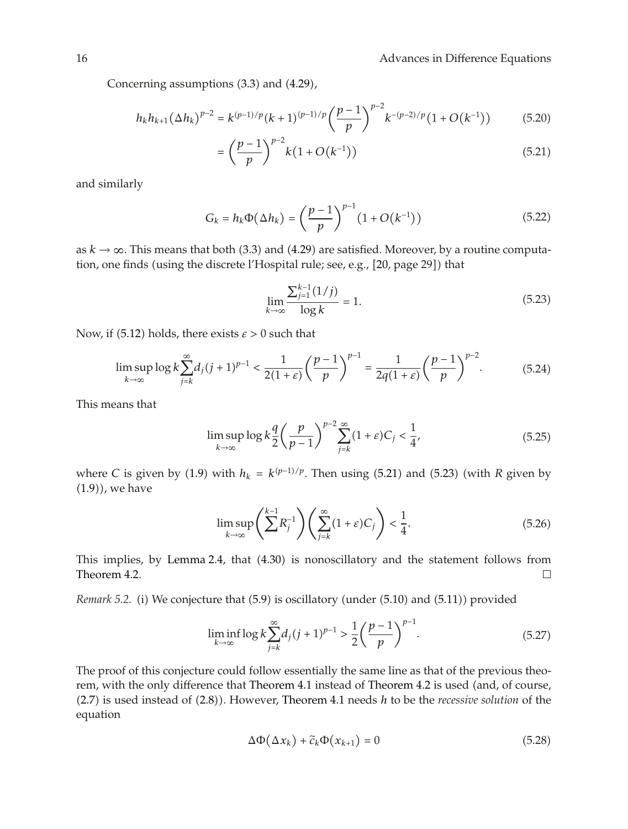Concerning assumptions  $(3.3)$  and  $(4.29)$ ,

$$
h_k h_{k+1} (\Delta h_k)^{p-2} = k^{(p-1)/p} (k+1)^{(p-1)/p} \left(\frac{p-1}{p}\right)^{p-2} k^{-(p-2)/p} (1+O(k^{-1})) \tag{5.20}
$$

$$
= \left(\frac{p-1}{p}\right)^{p-2} k \left(1 + O(k^{-1})\right) \tag{5.21}
$$

and similarly

$$
G_k = h_k \Phi(\Delta h_k) = \left(\frac{p-1}{p}\right)^{p-1} (1 + O(k^{-1})) \tag{5.22}
$$

as  $k \to \infty$ . This means that both (3.3) and (4.29) are satisfied. Moreover, by a routine computation, one finds (using the discrete l'Hospital rule; see, e.g., [20, page 29]) that

$$
\lim_{k \to \infty} \frac{\sum_{j=1}^{k-1} (1/j)}{\log k} = 1.
$$
\n(5.23)

Now, if (5.12) holds, there exists  $\varepsilon > 0$  such that

$$
\limsup_{k \to \infty} \log k \sum_{j=k}^{\infty} d_j (j+1)^{p-1} < \frac{1}{2(1+\varepsilon)} \left(\frac{p-1}{p}\right)^{p-1} = \frac{1}{2q(1+\varepsilon)} \left(\frac{p-1}{p}\right)^{p-2}.\tag{5.24}
$$

This means that

$$
\limsup_{k \to \infty} \log k \frac{q}{2} \left( \frac{p}{p-1} \right)^{p-2} \sum_{j=k}^{\infty} (1+\varepsilon) C_j < \frac{1}{4},\tag{5.25}
$$

where *C* is given by (1.9) with  $h_k = k^{(p-1)/p}$ . Then using (5.21) and (5.23) (with *R* given by  $(1.9)$ , we have

$$
\limsup_{k \to \infty} \left( \sum_{j=k}^{k-1} R_j^{-1} \right) \left( \sum_{j=k}^{\infty} (1+\varepsilon) C_j \right) < \frac{1}{4}.\tag{5.26}
$$

This implies, by Lemma 2.4, that (4.30) is nonoscillatory and the statement follows from Theorem 4.2.  $\Box$ 

*Remark 5.2.* (i) We conjecture that (5.9) is oscillatory (under (5.10) and (5.11)) provided

$$
\liminf_{k \to \infty} \log k \sum_{j=k}^{\infty} d_j (j+1)^{p-1} > \frac{1}{2} \left( \frac{p-1}{p} \right)^{p-1}.
$$
 (5.27)

The proof of this conjecture could follow essentially the same line as that of the previous theorem, with the only difference that Theorem 4.1 instead of Theorem 4.2 is used (and, of course, (2.7) is used instead of (2.8)). However, Theorem 4.1 needs *h* to be the *recessive solution* of the equation

$$
\Delta \Phi(\Delta x_k) + \tilde{c}_k \Phi(x_{k+1}) = 0 \tag{5.28}
$$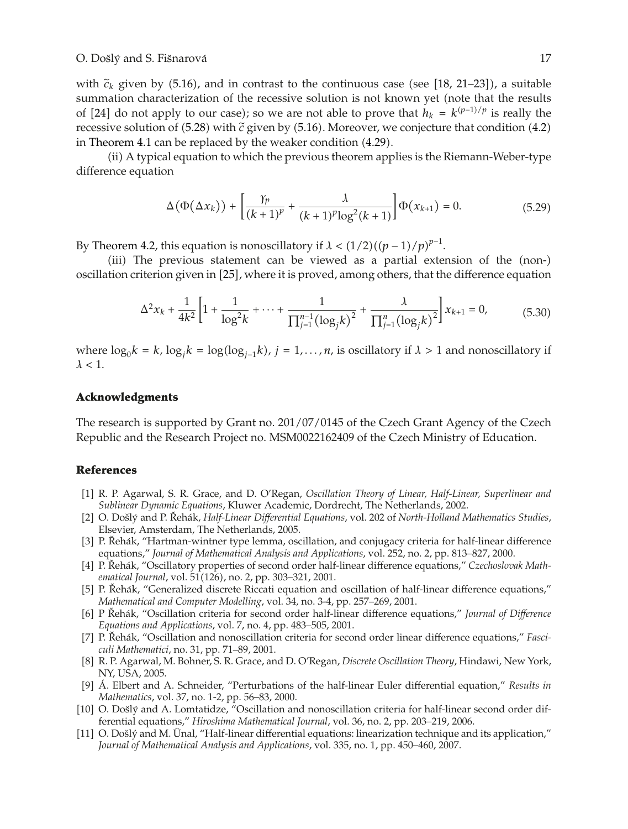with  $\tilde{c}_k$  given by (5.16), and in contrast to the continuous case (see [18, 21–23]), a suitable<br>cummation characterization of the recessive solution is not known yet (pote that the results summation characterization of the recessive solution is not known yet (note that the results of [24] do not apply to our case); so we are not able to prove that  $h_k = k^{(p-1)/p}$  is really the recessive solution of  $(5.28)$  with  $\tilde{c}$  given by  $(5.16)$ . Moreover, we conjecture that condition  $(4.2)$ in Theorem 4.1 can be replaced by the weaker condition  $(4.29)$ .

ii A typical equation to which the previous theorem applies is the Riemann-Weber-type difference equation

$$
\Delta(\Phi(\Delta x_k)) + \left[\frac{\gamma_p}{(k+1)^p} + \frac{\lambda}{(k+1)^p \log^2(k+1)}\right] \Phi(x_{k+1}) = 0.
$$
 (5.29)

By Theorem 4.2, this equation is nonoscillatory if  $\lambda < (1/2)((p-1)/p)^{p-1}$ .

(iii) The previous statement can be viewed as a partial extension of the (non-) oscillation criterion given in [25], where it is proved, among others, that the difference equation

$$
\Delta^2 x_k + \frac{1}{4k^2} \left[ 1 + \frac{1}{\log^2 k} + \dots + \frac{1}{\prod_{j=1}^{n-1} (\log_j k)^2} + \frac{\lambda}{\prod_{j=1}^n (\log_j k)^2} \right] x_{k+1} = 0,
$$
 (5.30)

where  $\log_0 k = k$ ,  $\log_i k = \log(\log_{i-1} k)$ ,  $j = 1, ..., n$ , is oscillatory if  $\lambda > 1$  and nonoscillatory if  $\lambda$  < 1.

## **Acknowledgments**

The research is supported by Grant no. 201/07/0145 of the Czech Grant Agency of the Czech Republic and the Research Project no. MSM0022162409 of the Czech Ministry of Education.

## **References**

- 1 R. P. Agarwal, S. R. Grace, and D. O'Regan, *Oscillation Theory of Linear, Half-Linear, Superlinear and Sublinear Dynamic Equations*, Kluwer Academic, Dordrecht, The Netherlands, 2002.
- [2] O. Došlý and P. Řehák, Half-Linear Differential Equations, vol. 202 of North-Holland Mathematics Studies, Elsevier, Amsterdam, The Netherlands, 2005.
- [3] P. Řehák, "Hartman-wintner type lemma, oscillation, and conjugacy criteria for half-linear difference equations," *Journal of Mathematical Analysis and Applications*, vol. 252, no. 2, pp. 813–827, 2000.
- [4] P. Řehák, "Oscillatory properties of second order half-linear difference equations," Czechoslovak Math*ematical Journal, vol.* 51(126), no. 2, pp. 303-321, 2001.
- [5] P. Řehák, "Generalized discrete Riccati equation and oscillation of half-linear difference equations," *Mathematical and Computer Modelling*, vol. 34, no. 3-4, pp. 257–269, 2001.
- [6] P Řehák, "Oscillation criteria for second order half-linear difference equations," *Journal of Difference Equations and Applications*, vol. 7, no. 4, pp. 483–505, 2001.
- [7] P. Řehák, "Oscillation and nonoscillation criteria for second order linear difference equations," Fasci*culi Mathematici*, no. 31, pp. 71–89, 2001.
- 8 R. P. Agarwal, M. Bohner, S. R. Grace, and D. O'Regan, *Discrete Oscillation Theory*, Hindawi, New York, NY, USA, 2005.
- [9] Á. Elbert and A. Schneider, "Perturbations of the half-linear Euler differential equation," Results in *Mathematics*, vol. 37, no. 1-2, pp. 56–83, 2000.
- [10] O. Došlý and A. Lomtatidze, "Oscillation and nonoscillation criteria for half-linear second order differential equations," *Hiroshima Mathematical Journal*, vol. 36, no. 2, pp. 203–219, 2006.
- [11] O. Došlý and M. Ünal, "Half-linear differential equations: linearization technique and its application," *Journal of Mathematical Analysis and Applications*, vol. 335, no. 1, pp. 450–460, 2007.